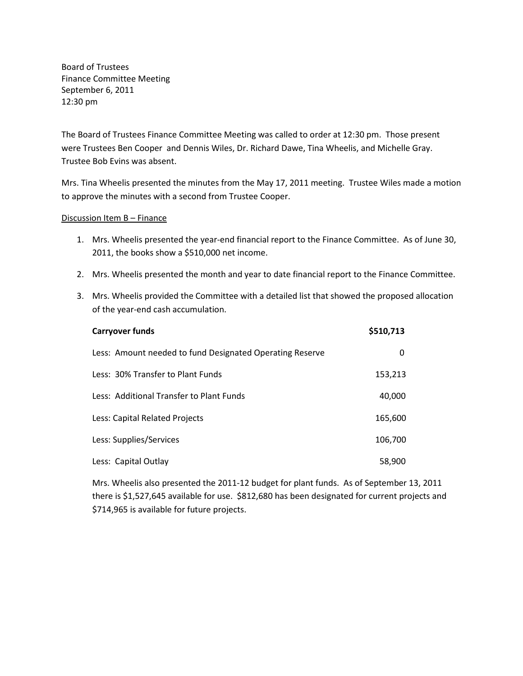Board of Trustees Finance Committee Meeting September 6, 2011 12:30 pm

The Board of Trustees Finance Committee Meeting was called to order at 12:30 pm. Those present were Trustees Ben Cooper and Dennis Wiles, Dr. Richard Dawe, Tina Wheelis, and Michelle Gray. Trustee Bob Evins was absent.

Mrs. Tina Wheelis presented the minutes from the May 17, 2011 meeting. Trustee Wiles made a motion to approve the minutes with a second from Trustee Cooper.

## Discussion Item B – Finance

- 1. Mrs. Wheelis presented the year-end financial report to the Finance Committee. As of June 30, 2011, the books show a \$510,000 net income.
- 2. Mrs. Wheelis presented the month and year to date financial report to the Finance Committee.
- 3. Mrs. Wheelis provided the Committee with a detailed list that showed the proposed allocation of the year-end cash accumulation.

| <b>Carryover funds</b>                                   | \$510,713 |
|----------------------------------------------------------|-----------|
| Less: Amount needed to fund Designated Operating Reserve | 0         |
| Less: 30% Transfer to Plant Funds                        | 153,213   |
| Less: Additional Transfer to Plant Funds                 | 40,000    |
| Less: Capital Related Projects                           | 165,600   |
| Less: Supplies/Services                                  | 106,700   |
| Less: Capital Outlay                                     | 58,900    |

Mrs. Wheelis also presented the 2011-12 budget for plant funds. As of September 13, 2011 there is \$1,527,645 available for use. \$812,680 has been designated for current projects and \$714,965 is available for future projects.